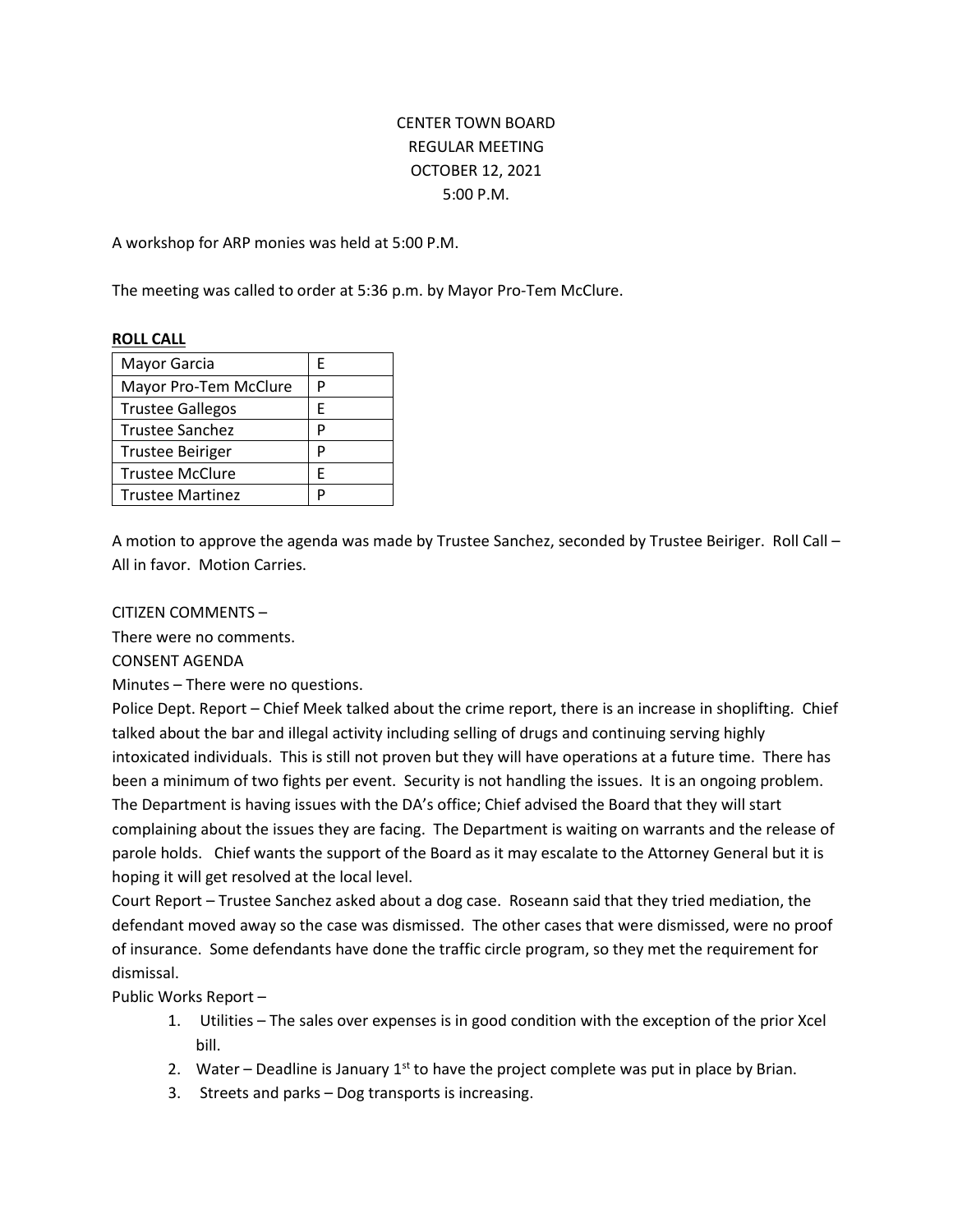# CENTER TOWN BOARD REGULAR MEETING OCTOBER 12, 2021 5:00 P.M.

A workshop for ARP monies was held at 5:00 P.M.

The meeting was called to order at 5:36 p.m. by Mayor Pro-Tem McClure.

#### **ROLL CALL**

| F |
|---|
| P |
| F |
| P |
| P |
| F |
| D |
|   |

A motion to approve the agenda was made by Trustee Sanchez, seconded by Trustee Beiriger. Roll Call – All in favor. Motion Carries.

#### CITIZEN COMMENTS –

There were no comments.

CONSENT AGENDA

Minutes – There were no questions.

Police Dept. Report – Chief Meek talked about the crime report, there is an increase in shoplifting. Chief talked about the bar and illegal activity including selling of drugs and continuing serving highly intoxicated individuals. This is still not proven but they will have operations at a future time. There has been a minimum of two fights per event. Security is not handling the issues. It is an ongoing problem. The Department is having issues with the DA's office; Chief advised the Board that they will start complaining about the issues they are facing. The Department is waiting on warrants and the release of parole holds. Chief wants the support of the Board as it may escalate to the Attorney General but it is hoping it will get resolved at the local level.

Court Report – Trustee Sanchez asked about a dog case. Roseann said that they tried mediation, the defendant moved away so the case was dismissed. The other cases that were dismissed, were no proof of insurance. Some defendants have done the traffic circle program, so they met the requirement for dismissal.

Public Works Report –

- 1. Utilities The sales over expenses is in good condition with the exception of the prior Xcel bill.
- 2. Water Deadline is January  $1^{st}$  to have the project complete was put in place by Brian.
- 3. Streets and parks Dog transports is increasing.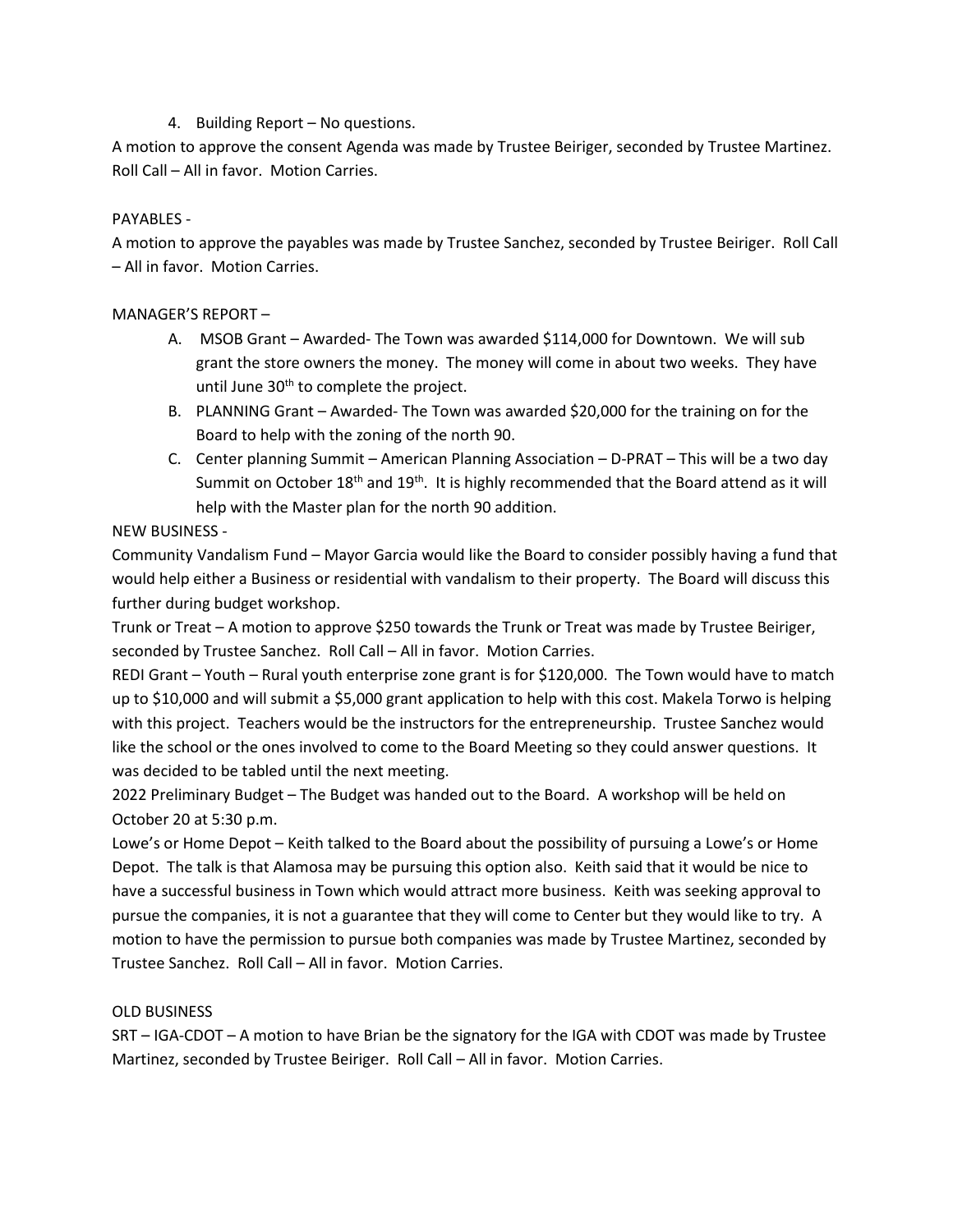4. Building Report – No questions.

A motion to approve the consent Agenda was made by Trustee Beiriger, seconded by Trustee Martinez. Roll Call – All in favor. Motion Carries.

## PAYABLES -

A motion to approve the payables was made by Trustee Sanchez, seconded by Trustee Beiriger. Roll Call – All in favor. Motion Carries.

# MANAGER'S REPORT –

- A. MSOB Grant Awarded- The Town was awarded \$114,000 for Downtown. We will sub grant the store owners the money. The money will come in about two weeks. They have until June  $30<sup>th</sup>$  to complete the project.
- B. PLANNING Grant Awarded- The Town was awarded \$20,000 for the training on for the Board to help with the zoning of the north 90.
- C. Center planning Summit American Planning Association D-PRAT This will be a two day Summit on October  $18<sup>th</sup>$  and  $19<sup>th</sup>$ . It is highly recommended that the Board attend as it will help with the Master plan for the north 90 addition.

# NEW BUSINESS -

Community Vandalism Fund – Mayor Garcia would like the Board to consider possibly having a fund that would help either a Business or residential with vandalism to their property. The Board will discuss this further during budget workshop.

Trunk or Treat – A motion to approve \$250 towards the Trunk or Treat was made by Trustee Beiriger, seconded by Trustee Sanchez. Roll Call – All in favor. Motion Carries.

REDI Grant – Youth – Rural youth enterprise zone grant is for \$120,000. The Town would have to match up to \$10,000 and will submit a \$5,000 grant application to help with this cost. Makela Torwo is helping with this project. Teachers would be the instructors for the entrepreneurship. Trustee Sanchez would like the school or the ones involved to come to the Board Meeting so they could answer questions. It was decided to be tabled until the next meeting.

2022 Preliminary Budget – The Budget was handed out to the Board. A workshop will be held on October 20 at 5:30 p.m.

Lowe's or Home Depot – Keith talked to the Board about the possibility of pursuing a Lowe's or Home Depot. The talk is that Alamosa may be pursuing this option also. Keith said that it would be nice to have a successful business in Town which would attract more business. Keith was seeking approval to pursue the companies, it is not a guarantee that they will come to Center but they would like to try. A motion to have the permission to pursue both companies was made by Trustee Martinez, seconded by Trustee Sanchez. Roll Call – All in favor. Motion Carries.

### OLD BUSINESS

SRT – IGA-CDOT – A motion to have Brian be the signatory for the IGA with CDOT was made by Trustee Martinez, seconded by Trustee Beiriger. Roll Call – All in favor. Motion Carries.